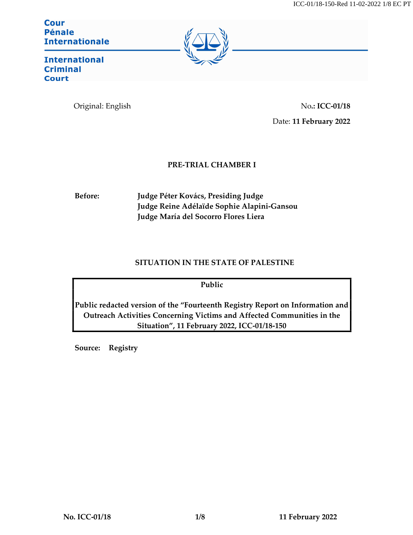**Cour Pénale Internationale** 



**International Criminal Court** 

Original: English No.: ICC-01/18 Date: 11 February 2022

# PRE-TRIAL CHAMBER I

Before: Judge Péter Kovács, Presiding Judge Judge Reine Adélaïde Sophie Alapini-Gansou Judge María del Socorro Flores Liera

# SITUATION IN THE STATE OF PALESTINE

Public

Public redacted version of the "Fourteenth Registry Report on Information and Outreach Activities Concerning Victims and Affected Communities in the Situation", 11 February 2022, ICC-01/18-150

Source: Registry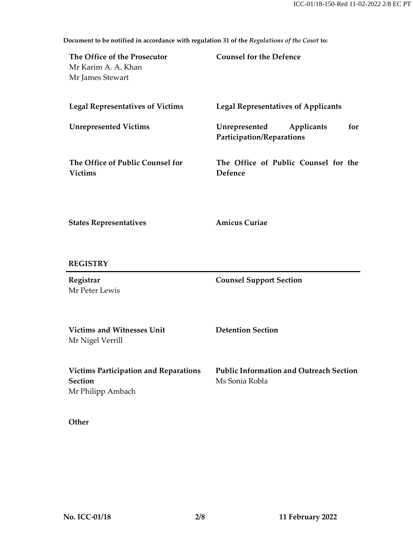Document to be notified in accordance with regulation 31 of the Regulations of the Court to:

| The Office of the Prosecutor<br>Mr Karim A. A. Khan<br>Mr James Stewart             | <b>Counsel for the Defence</b>                                   |
|-------------------------------------------------------------------------------------|------------------------------------------------------------------|
| <b>Legal Representatives of Victims</b>                                             | <b>Legal Representatives of Applicants</b>                       |
| <b>Unrepresented Victims</b>                                                        | Unrepresented<br>for<br>Applicants<br>Participation/Reparations  |
| The Office of Public Counsel for<br><b>Victims</b>                                  | The Office of Public Counsel for the<br>Defence                  |
| <b>States Representatives</b>                                                       | <b>Amicus Curiae</b>                                             |
| <b>REGISTRY</b>                                                                     |                                                                  |
| Registrar<br>Mr Peter Lewis                                                         | <b>Counsel Support Section</b>                                   |
| <b>Victims and Witnesses Unit</b><br>Mr Nigel Verrill                               | <b>Detention Section</b>                                         |
| <b>Victims Participation and Reparations</b><br><b>Section</b><br>Mr Philipp Ambach | <b>Public Information and Outreach Section</b><br>Ms Sonia Robla |

**Other**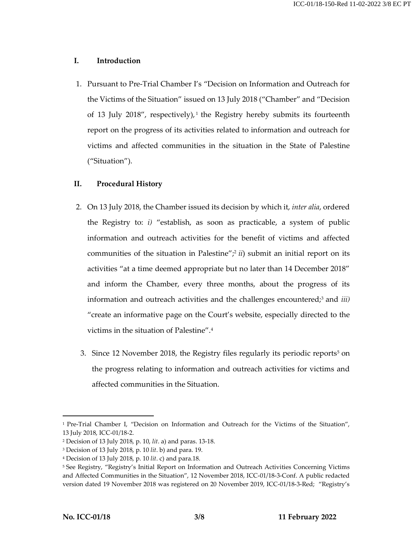### I. Introduction

1. Pursuant to Pre-Trial Chamber I's "Decision on Information and Outreach for the Victims of the Situation" issued on 13 July 2018 ("Chamber" and "Decision of 13 July 2018", respectively), <sup>1</sup> the Registry hereby submits its fourteenth report on the progress of its activities related to information and outreach for victims and affected communities in the situation in the State of Palestine ("Situation").

### II. Procedural History

- 2. On 13 July 2018, the Chamber issued its decision by which it, *inter alia*, ordered the Registry to:  $i$ ) "establish, as soon as practicable, a system of public information and outreach activities for the benefit of victims and affected communities of the situation in Palestine"; $\frac{2}{i}$  ii) submit an initial report on its activities "at a time deemed appropriate but no later than 14 December 2018" and inform the Chamber, every three months, about the progress of its information and outreach activities and the challenges encountered;<sup>3</sup> and *iii*) "create an informative page on the Court's website, especially directed to the victims in the situation of Palestine".<sup>4</sup>
	- 3. Since 12 November 2018, the Registry files regularly its periodic reports<sup>5</sup> on the progress relating to information and outreach activities for victims and affected communities in the Situation.

<sup>&</sup>lt;sup>1</sup> Pre-Trial Chamber I, "Decision on Information and Outreach for the Victims of the Situation", 13 July 2018, ICC-01/18-2.

<sup>2</sup> Decision of 13 July 2018, p. 10, lit. a) and paras. 13-18.

<sup>3</sup> Decision of 13 July 2018, p. 10 lit. b) and para. 19.

<sup>4</sup> Decision of 13 July 2018, p. 10 lit. c) and para.18.

<sup>5</sup> See Registry, "Registry's Initial Report on Information and Outreach Activities Concerning Victims and Affected Communities in the Situation", 12 November 2018, ICC-01/18-3-Conf. A public redacted version dated 19 November 2018 was registered on 20 November 2019, ICC-01/18-3-Red; "Registry's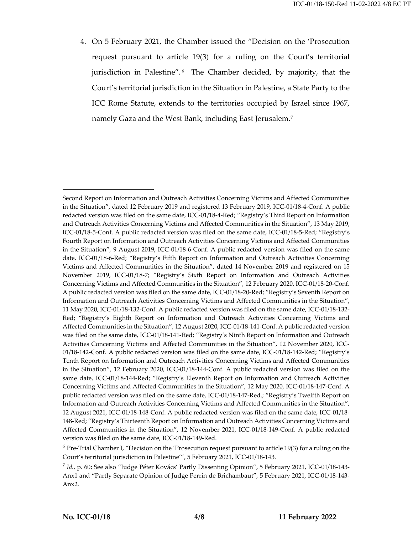4. On 5 February 2021, the Chamber issued the "Decision on the 'Prosecution request pursuant to article 19(3) for a ruling on the Court's territorial jurisdiction in Palestine".<sup>6</sup> The Chamber decided, by majority, that the Court's territorial jurisdiction in the Situation in Palestine, a State Party to the ICC Rome Statute, extends to the territories occupied by Israel since 1967, namely Gaza and the West Bank, including East Jerusalem. $^7$ 

<sup>6</sup> Pre-Trial Chamber I, "Decision on the 'Prosecution request pursuant to article 19(3) for a ruling on the Court's territorial jurisdiction in Palestine'", 5 February 2021, ICC-01/18-143.

Second Report on Information and Outreach Activities Concerning Victims and Affected Communities in the Situation", dated 12 February 2019 and registered 13 February 2019, ICC-01/18-4-Conf. A public redacted version was filed on the same date, ICC-01/18-4-Red; "Registry's Third Report on Information and Outreach Activities Concerning Victims and Affected Communities in the Situation", 13 May 2019, ICC-01/18-5-Conf. A public redacted version was filed on the same date, ICC-01/18-5-Red; "Registry's Fourth Report on Information and Outreach Activities Concerning Victims and Affected Communities in the Situation", 9 August 2019, ICC-01/18-6-Conf. A public redacted version was filed on the same date, ICC-01/18-6-Red; "Registry's Fifth Report on Information and Outreach Activities Concerning Victims and Affected Communities in the Situation", dated 14 November 2019 and registered on 15 November 2019, ICC-01/18-7; "Registry's Sixth Report on Information and Outreach Activities Concerning Victims and Affected Communities in the Situation", 12 February 2020, ICC-01/18-20-Conf. A public redacted version was filed on the same date, ICC-01/18-20-Red; "Registry's Seventh Report on Information and Outreach Activities Concerning Victims and Affected Communities in the Situation", 11 May 2020, ICC-01/18-132-Conf. A public redacted version was filed on the same date, ICC-01/18-132- Red; "Registry's Eighth Report on Information and Outreach Activities Concerning Victims and Affected Communities in the Situation", 12 August 2020, ICC-01/18-141-Conf. A public redacted version was filed on the same date, ICC-01/18-141-Red; "Registry's Ninth Report on Information and Outreach Activities Concerning Victims and Affected Communities in the Situation", 12 November 2020, ICC-01/18-142-Conf. A public redacted version was filed on the same date, ICC-01/18-142-Red; "Registry's Tenth Report on Information and Outreach Activities Concerning Victims and Affected Communities in the Situation", 12 February 2020, ICC-01/18-144-Conf. A public redacted version was filed on the same date, ICC-01/18-144-Red; "Registry's Eleventh Report on Information and Outreach Activities Concerning Victims and Affected Communities in the Situation", 12 May 2020, ICC-01/18-147-Conf. A public redacted version was filed on the same date, ICC-01/18-147-Red.; "Registry's Twelfth Report on Information and Outreach Activities Concerning Victims and Affected Communities in the Situation", 12 August 2021, ICC-01/18-148-Conf. A public redacted version was filed on the same date, ICC-01/18- 148-Red; "Registry's Thirteenth Report on Information and Outreach Activities Concerning Victims and Affected Communities in the Situation", 12 November 2021, ICC-01/18-149-Conf. A public redacted version was filed on the same date, ICC-01/18-149-Red.

<sup>7</sup> Id., p. 60; See also "Judge Péter Kovács' Partly Dissenting Opinion", 5 February 2021, ICC-01/18-143- Anx1 and "Partly Separate Opinion of Judge Perrin de Brichambaut", 5 February 2021, ICC-01/18-143- Anx2.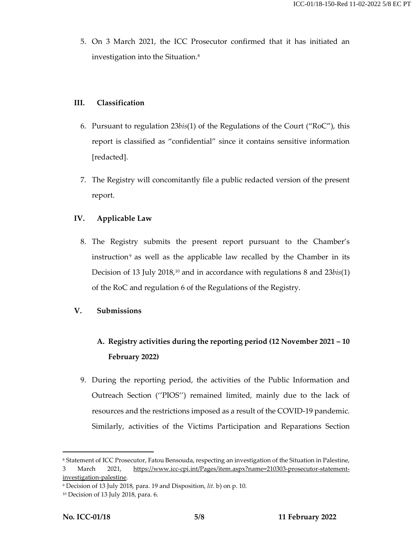5. On 3 March 2021, the ICC Prosecutor confirmed that it has initiated an investigation into the Situation.<sup>8</sup>

## III. Classification

- 6. Pursuant to regulation  $23bis(1)$  of the Regulations of the Court ("RoC"), this report is classified as "confidential" since it contains sensitive information [redacted].
- 7. The Registry will concomitantly file a public redacted version of the present report.

# IV. Applicable Law

8. The Registry submits the present report pursuant to the Chamber's instruction<sup>9</sup> as well as the applicable law recalled by the Chamber in its Decision of 13 July 2018,<sup>10</sup> and in accordance with regulations 8 and 23bis(1) of the RoC and regulation 6 of the Regulations of the Registry.

# V. Submissions

# A. Registry activities during the reporting period (12 November 2021 – 10 February 2022)

9. During the reporting period, the activities of the Public Information and Outreach Section (''PIOS'') remained limited, mainly due to the lack of resources and the restrictions imposed as a result of the COVID-19 pandemic. Similarly, activities of the Victims Participation and Reparations Section

<sup>&</sup>lt;sup>8</sup> Statement of ICC Prosecutor, Fatou Bensouda, respecting an investigation of the Situation in Palestine, 3 March 2021, https://www.icc-cpi.int/Pages/item.aspx?name=210303-prosecutor-statement-

investigation-palestine.

<sup>9</sup> Decision of 13 July 2018, para. 19 and Disposition, lit. b) on p. 10.

<sup>10</sup> Decision of 13 July 2018, para. 6.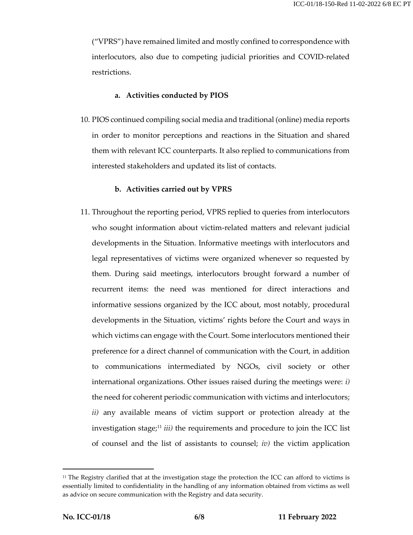("VPRS") have remained limited and mostly confined to correspondence with interlocutors, also due to competing judicial priorities and COVID-related restrictions.

### a. Activities conducted by PIOS

10. PIOS continued compiling social media and traditional (online) media reports in order to monitor perceptions and reactions in the Situation and shared them with relevant ICC counterparts. It also replied to communications from interested stakeholders and updated its list of contacts.

### b. Activities carried out by VPRS

11. Throughout the reporting period, VPRS replied to queries from interlocutors who sought information about victim-related matters and relevant judicial developments in the Situation. Informative meetings with interlocutors and legal representatives of victims were organized whenever so requested by them. During said meetings, interlocutors brought forward a number of recurrent items: the need was mentioned for direct interactions and informative sessions organized by the ICC about, most notably, procedural developments in the Situation, victims' rights before the Court and ways in which victims can engage with the Court. Some interlocutors mentioned their preference for a direct channel of communication with the Court, in addition to communications intermediated by NGOs, civil society or other international organizations. Other issues raised during the meetings were:  $i$ ) the need for coherent periodic communication with victims and interlocutors; ii) any available means of victim support or protection already at the investigation stage;<sup>11</sup> *iii*) the requirements and procedure to join the ICC list of counsel and the list of assistants to counsel;  $iv$ ) the victim application

<sup>&</sup>lt;sup>11</sup> The Registry clarified that at the investigation stage the protection the ICC can afford to victims is essentially limited to confidentiality in the handling of any information obtained from victims as well as advice on secure communication with the Registry and data security.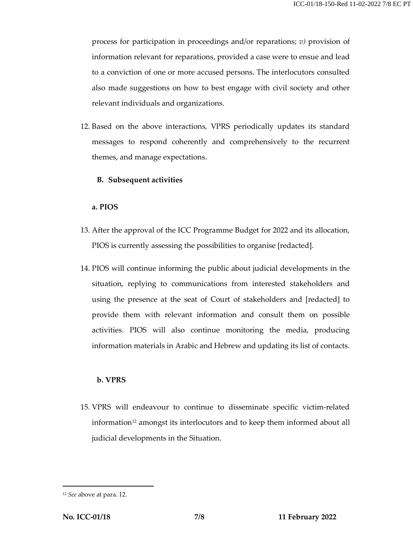process for participation in proceedings and/or reparations;  $v$ ) provision of information relevant for reparations, provided a case were to ensue and lead to a conviction of one or more accused persons. The interlocutors consulted also made suggestions on how to best engage with civil society and other relevant individuals and organizations.

12. Based on the above interactions, VPRS periodically updates its standard messages to respond coherently and comprehensively to the recurrent themes, and manage expectations.

### B. Subsequent activities

#### a. PIOS

- 13. After the approval of the ICC Programme Budget for 2022 and its allocation, PIOS is currently assessing the possibilities to organise [redacted].
- 14. PIOS will continue informing the public about judicial developments in the situation, replying to communications from interested stakeholders and using the presence at the seat of Court of stakeholders and [redacted] to provide them with relevant information and consult them on possible activities. PIOS will also continue monitoring the media, producing information materials in Arabic and Hebrew and updating its list of contacts.

### b. VPRS

15. VPRS will endeavour to continue to disseminate specific victim-related information<sup>12</sup> amongst its interlocutors and to keep them informed about all judicial developments in the Situation.

<sup>12</sup> See above at para. 12.